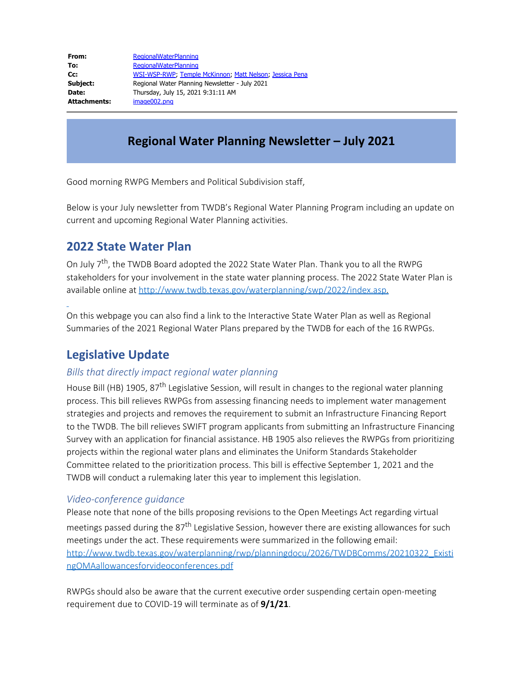| From:        | <b>RegionalWaterPlanning</b>                            |
|--------------|---------------------------------------------------------|
| To:          | <b>RegionalWaterPlanning</b>                            |
| Cc:          | WSI-WSP-RWP, Temple McKinnon, Matt Nelson, Jessica Pena |
| Subject:     | Regional Water Planning Newsletter - July 2021          |
| Date:        | Thursday, July 15, 2021 9:31:11 AM                      |
| Attachments: | image002.png                                            |

## **Regional Water Planning Newsletter – July 2021**

Good morning RWPG Members and Political Subdivision staff,

Below is your July newsletter from TWDB's Regional Water Planning Program including an update on current and upcoming Regional Water Planning activities.

### **2022 State Water Plan**

On July 7<sup>th</sup>, the TWDB Board adopted the 2022 State Water Plan. Thank you to all the RWPG stakeholders for your involvement in the state water planning process. The 2022 State Water Plan is available online at<http://www.twdb.texas.gov/waterplanning/swp/2022/index.asp>.

On this webpage you can also find a link to the Interactive State Water Plan as well as Regional Summaries of the 2021 Regional Water Plans prepared by the TWDB for each of the 16 RWPGs.

## **Legislative Update**

#### *Bills that directly impact regional water planning*

House Bill (HB) 1905, 87<sup>th</sup> Legislative Session, will result in changes to the regional water planning process. This bill relieves RWPGs from assessing financing needs to implement water management strategies and projects and removes the requirement to submit an Infrastructure Financing Report to the TWDB. The bill relieves SWIFT program applicants from submitting an Infrastructure Financing Survey with an application for financial assistance. HB 1905 also relieves the RWPGs from prioritizing projects within the regional water plans and eliminates the Uniform Standards Stakeholder Committee related to the prioritization process. This bill is effective September 1, 2021 and the TWDB will conduct a rulemaking later this year to implement this legislation.

#### *Video-conference guidance*

Please note that none of the bills proposing revisions to the Open Meetings Act regarding virtual meetings passed during the 87<sup>th</sup> Legislative Session, however there are existing allowances for such meetings under the act. These requirements were summarized in the following email: [http://www.twdb.texas.gov/waterplanning/rwp/planningdocu/2026/TWDBComms/20210322\\_Existi](http://www.twdb.texas.gov/waterplanning/rwp/planningdocu/2026/TWDBComms/20210322_ExistingOMAallowancesforvideoconferences.pdf) [ngOMAallowancesforvideoconferences.pdf](http://www.twdb.texas.gov/waterplanning/rwp/planningdocu/2026/TWDBComms/20210322_ExistingOMAallowancesforvideoconferences.pdf)

RWPGs should also be aware that the current executive order suspending certain open-meeting requirement due to COVID-19 will terminate as of **9/1/21**.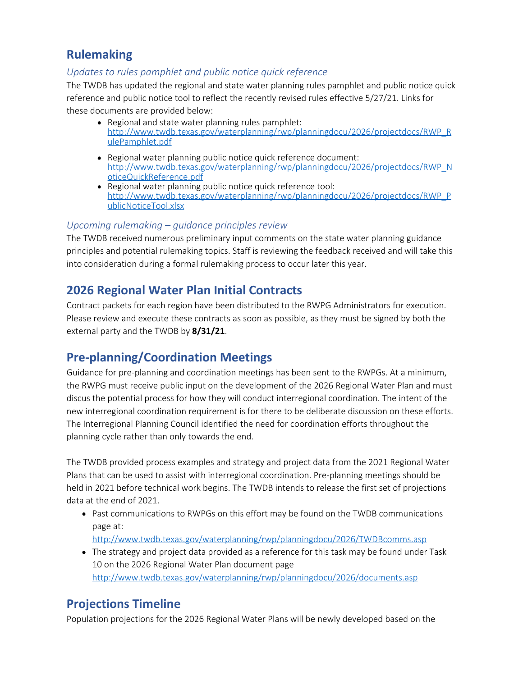### **Rulemaking**

#### *Updates to rules pamphlet and public notice quick reference*

The TWDB has updated the regional and state water planning rules pamphlet and public notice quick reference and public notice tool to reflect the recently revised rules effective 5/27/21. Links for these documents are provided below:

- Regional and state water planning rules pamphlet: [http://www.twdb.texas.gov/waterplanning/rwp/planningdocu/2026/projectdocs/RWP\\_R](http://www.twdb.texas.gov/waterplanning/rwp/planningdocu/2026/projectdocs/RWP_RulePamphlet.pdf) [ulePamphlet.pdf](http://www.twdb.texas.gov/waterplanning/rwp/planningdocu/2026/projectdocs/RWP_RulePamphlet.pdf)
- Regional water planning public notice quick reference document: [http://www.twdb.texas.gov/waterplanning/rwp/planningdocu/2026/projectdocs/RWP\\_N](http://www.twdb.texas.gov/waterplanning/rwp/planningdocu/2026/projectdocs/RWP_NoticeQuickReference.pdf) [oticeQuickReference.pdf](http://www.twdb.texas.gov/waterplanning/rwp/planningdocu/2026/projectdocs/RWP_NoticeQuickReference.pdf)
- Regional water planning public notice quick reference tool: [http://www.twdb.texas.gov/waterplanning/rwp/planningdocu/2026/projectdocs/RWP\\_P](http://www.twdb.texas.gov/waterplanning/rwp/planningdocu/2026/projectdocs/RWP_PublicNoticeTool.xlsx) [ublicNoticeTool.xlsx](http://www.twdb.texas.gov/waterplanning/rwp/planningdocu/2026/projectdocs/RWP_PublicNoticeTool.xlsx)

#### *Upcoming rulemaking – guidance principles review*

The TWDB received numerous preliminary input comments on the state water planning guidance principles and potential rulemaking topics. Staff is reviewing the feedback received and will take this into consideration during a formal rulemaking process to occur later this year.

## **2026 Regional Water Plan Initial Contracts**

Contract packets for each region have been distributed to the RWPG Administrators for execution. Please review and execute these contracts as soon as possible, as they must be signed by both the external party and the TWDB by **8/31/21**.

## **Pre-planning/Coordination Meetings**

Guidance for pre-planning and coordination meetings has been sent to the RWPGs. At a minimum, the RWPG must receive public input on the development of the 2026 Regional Water Plan and must discus the potential process for how they will conduct interregional coordination. The intent of the new interregional coordination requirement is for there to be deliberate discussion on these efforts. The Interregional Planning Council identified the need for coordination efforts throughout the planning cycle rather than only towards the end.

The TWDB provided process examples and strategy and project data from the 2021 Regional Water Plans that can be used to assist with interregional coordination. Pre-planning meetings should be held in 2021 before technical work begins. The TWDB intends to release the first set of projections data at the end of 2021.

Past communications to RWPGs on this effort may be found on the TWDB communications page at:

<http://www.twdb.texas.gov/waterplanning/rwp/planningdocu/2026/TWDBcomms.asp>

• The strategy and project data provided as a reference for this task may be found under Task 10 on the 2026 Regional Water Plan document page <http://www.twdb.texas.gov/waterplanning/rwp/planningdocu/2026/documents.asp>

## **Projections Timeline**

Population projections for the 2026 Regional Water Plans will be newly developed based on the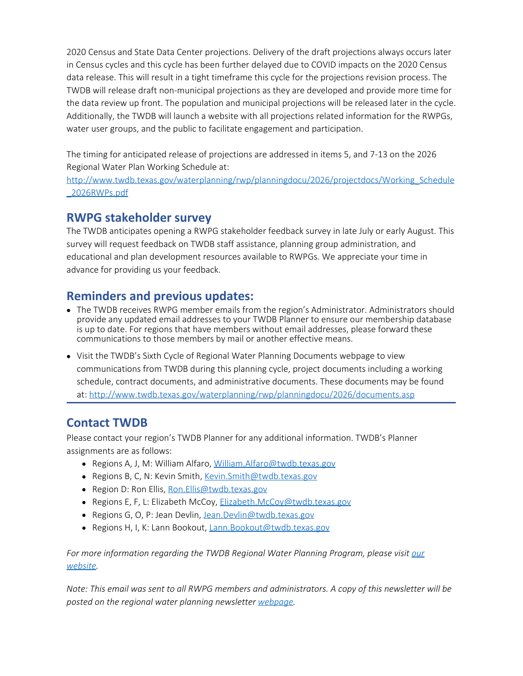2020 Census and State Data Center projections. Delivery of the draft projections always occurs later in Census cycles and this cycle has been further delayed due to COVID impacts on the 2020 Census data release. This will result in a tight timeframe this cycle for the projections revision process. The TWDB will release draft non-municipal projections as they are developed and provide more time for the data review up front. The population and municipal projections will be released later in the cycle. Additionally, the TWDB will launch a website with all projections related information for the RWPGs, water user groups, and the public to facilitate engagement and participation.

The timing for anticipated release of projections are addressed in items 5, and 7-13 on the 2026 Regional Water Plan Working Schedule at:

[http://www.twdb.texas.gov/waterplanning/rwp/planningdocu/2026/projectdocs/Working\\_Schedule](http://www.twdb.texas.gov/waterplanning/rwp/planningdocu/2026/projectdocs/Working_Schedule_2026RWPs.pdf) [\\_2026RWPs.pdf](http://www.twdb.texas.gov/waterplanning/rwp/planningdocu/2026/projectdocs/Working_Schedule_2026RWPs.pdf)

### **RWPG stakeholder survey**

The TWDB anticipates opening a RWPG stakeholder feedback survey in late July or early August. This survey will request feedback on TWDB staff assistance, planning group administration, and educational and plan development resources available to RWPGs. We appreciate your time in advance for providing us your feedback.

# **Reminders and previous updates:**

- The TWDB receives RWPG member emails from the region's Administrator. Administrators should provide any updated email addresses to your TWDB Planner to ensure our membership database is up to date. For regions that have members without email addresses, please forward these communications to those members by mail or another effective means.
- Visit the TWDB's Sixth Cycle of Regional Water Planning Documents webpage to view communications from TWDB during this planning cycle, project documents including a working schedule, contract documents, and administrative documents. These documents may be found at:<http://www.twdb.texas.gov/waterplanning/rwp/planningdocu/2026/documents.asp>

## **Contact TWDB**

Please contact your region's TWDB Planner for any additional information. TWDB's Planner assignments are as follows:

- Regions A, J, M: William Alfaro, [William.Alfaro@twdb.texas.gov](mailto:William.Alfaro@twdb.texas.gov)
- Regions B, C, N: Kevin Smith, [Kevin.Smith@twdb.texas.gov](mailto:Kevin.Smith@twdb.texas.gov)
- Region D: Ron Ellis, Ron. Ellis@twdb.texas.gov
- Regions E, F, L: Elizabeth McCoy, [Elizabeth.McCoy@twdb.texas.gov](mailto:Elizabeth.McCoy@twdb.texas.gov)
- Regions G, O, P: Jean Devlin, [Jean.Devlin@twdb.texas.gov](mailto:Jean.Devlin@twdb.texas.gov)
- Regions H, I, K: Lann Bookout, [Lann.Bookout@twdb.texas.gov](mailto:Lann.Bookout@twdb.texas.gov)

*For more information regarding the TWDB Regional Water Planning Program, please visitour [website.](http://www.twdb.texas.gov/waterplanning/rwp/index.asp)*

*Note: This email was sent to all RWPG members and administrators. A copy of this newsletter will be posted on the regional water planning newsletter [webpage](http://www.twdb.texas.gov/waterplanning/rwp/planningdocu/2026/newsletters.asp).*